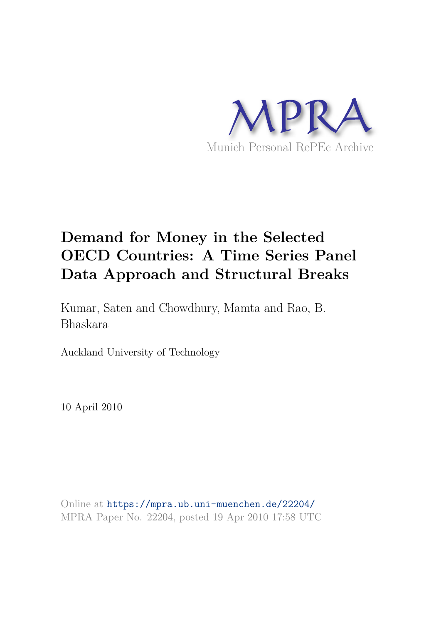

# **Demand for Money in the Selected OECD Countries: A Time Series Panel Data Approach and Structural Breaks**

Kumar, Saten and Chowdhury, Mamta and Rao, B. Bhaskara

Auckland University of Technology

10 April 2010

Online at https://mpra.ub.uni-muenchen.de/22204/ MPRA Paper No. 22204, posted 19 Apr 2010 17:58 UTC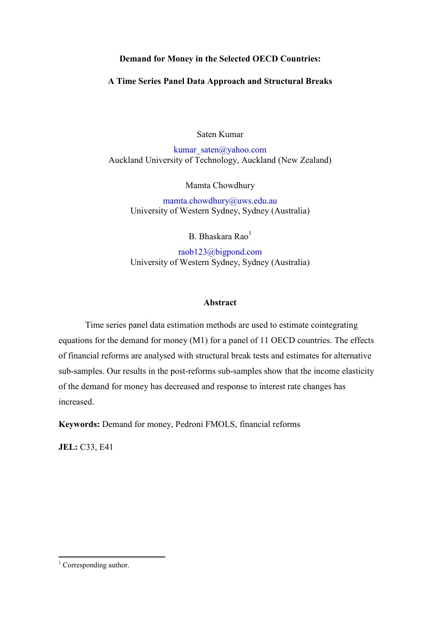# **Demand for Money in the Selected OECD Countries:**

## A Time Series Panel Data Approach and Structural Breaks

Saten Kumar

kumar saten@yahoo.com Auckland University of Technology, Auckland (New Zealand)

Mamta Chowdhury

mamta.chowdhury@uws.edu.au University of Western Sydney, Sydney (Australia)

B. Bhaskara Rao<sup>1</sup>

raob123@bigpond.com University of Western Sydney, Sydney (Australia)

### **Abstract**

Time series panel data estimation methods are used to estimate cointegrating equations for the demand for money (M1) for a panel of 11 OECD countries. The effects of financial reforms are analysed with structural break tests and estimates for alternative sub-samples. Our results in the post-reforms sub-samples show that the income elasticity of the demand for money has decreased and response to interest rate changes has increased

Keywords: Demand for money, Pedroni FMOLS, financial reforms

**JEL: C33, E41** 

 $1$  Corresponding author.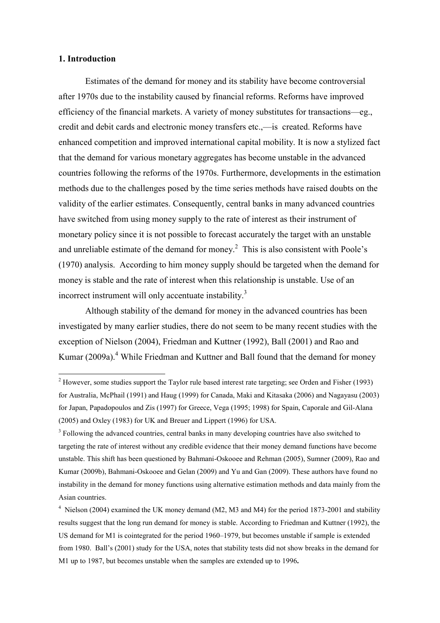#### 1. Introduction

Estimates of the demand for money and its stability have become controversial after 1970s due to the instability caused by financial reforms. Reforms have improved efficiency of the financial markets. A variety of money substitutes for transactions-eg. credit and debit cards and electronic money transfers etc.,—is created. Reforms have enhanced competition and improved international capital mobility. It is now a stylized fact that the demand for various monetary aggregates has become unstable in the advanced countries following the reforms of the 1970s. Furthermore, developments in the estimation methods due to the challenges posed by the time series methods have raised doubts on the validity of the earlier estimates. Consequently, central banks in many advanced countries have switched from using money supply to the rate of interest as their instrument of monetary policy since it is not possible to forecast accurately the target with an unstable and unreliable estimate of the demand for money.<sup>2</sup> This is also consistent with Poole's (1970) analysis. According to him money supply should be targeted when the demand for money is stable and the rate of interest when this relationship is unstable. Use of an incorrect instrument will only accentuate instability.<sup>3</sup>

Although stability of the demand for money in the advanced countries has been investigated by many earlier studies, there do not seem to be many recent studies with the exception of Nielson (2004), Friedman and Kuttner (1992), Ball (2001) and Rao and Kumar (2009a).<sup>4</sup> While Friedman and Kuttner and Ball found that the demand for money

<sup>&</sup>lt;sup>2</sup> However, some studies support the Taylor rule based interest rate targeting; see Orden and Fisher (1993) for Australia, McPhail (1991) and Haug (1999) for Canada, Maki and Kitasaka (2006) and Nagayasu (2003) for Japan, Papadopoulos and Zis (1997) for Greece, Vega (1995; 1998) for Spain, Caporale and Gil-Alana (2005) and Oxley (1983) for UK and Breuer and Lippert (1996) for USA.

<sup>&</sup>lt;sup>3</sup> Following the advanced countries, central banks in many developing countries have also switched to targeting the rate of interest without any credible evidence that their money demand functions have become unstable. This shift has been questioned by Bahmani-Oskooee and Rehman (2005), Sumner (2009), Rao and Kumar (2009b), Bahmani-Oskooee and Gelan (2009) and Yu and Gan (2009). These authors have found no instability in the demand for money functions using alternative estimation methods and data mainly from the Asian countries.

 $4$  Nielson (2004) examined the UK money demand (M2, M3 and M4) for the period 1873-2001 and stability results suggest that the long run demand for money is stable. According to Friedman and Kuttner (1992), the US demand for M1 is cointegrated for the period 1960–1979, but becomes unstable if sample is extended from 1980. Ball's (2001) study for the USA, notes that stability tests did not show breaks in the demand for M1 up to 1987, but becomes unstable when the samples are extended up to 1996.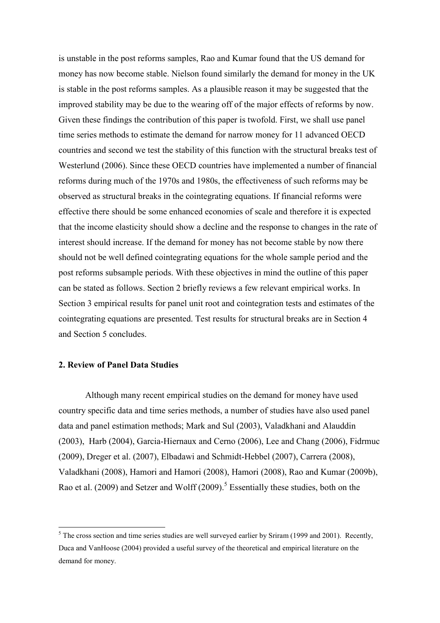is unstable in the post reforms samples, Rao and Kumar found that the US demand for money has now become stable. Nielson found similarly the demand for money in the UK is stable in the post reforms samples. As a plausible reason it may be suggested that the improved stability may be due to the wearing off of the major effects of reforms by now. Given these findings the contribution of this paper is twofold. First, we shall use panel time series methods to estimate the demand for narrow money for 11 advanced OECD countries and second we test the stability of this function with the structural breaks test of Westerlund (2006). Since these OECD countries have implemented a number of financial reforms during much of the 1970s and 1980s, the effectiveness of such reforms may be observed as structural breaks in the cointegrating equations. If financial reforms were effective there should be some enhanced economies of scale and therefore it is expected that the income elasticity should show a decline and the response to changes in the rate of interest should increase. If the demand for money has not become stable by now there should not be well defined cointegrating equations for the whole sample period and the post reforms subsample periods. With these objectives in mind the outline of this paper can be stated as follows. Section 2 briefly reviews a few relevant empirical works. In Section 3 empirical results for panel unit root and cointegration tests and estimates of the cointegrating equations are presented. Test results for structural breaks are in Section 4 and Section 5 concludes.

## 2. Review of Panel Data Studies

Although many recent empirical studies on the demand for money have used country specific data and time series methods, a number of studies have also used panel data and panel estimation methods; Mark and Sul (2003), Valadkhani and Alauddin (2003), Harb (2004), Garcia-Hiernaux and Cerno (2006), Lee and Chang (2006), Fidrmuc (2009), Dreger et al. (2007), Elbadawi and Schmidt-Hebbel (2007), Carrera (2008), Valadkhani (2008), Hamori and Hamori (2008), Hamori (2008), Rao and Kumar (2009b), Rao et al. (2009) and Setzer and Wolff (2009).<sup>5</sup> Essentially these studies, both on the

 $5$  The cross section and time series studies are well surveyed earlier by Sriram (1999 and 2001). Recently, Duca and VanHoose (2004) provided a useful survey of the theoretical and empirical literature on the demand for money.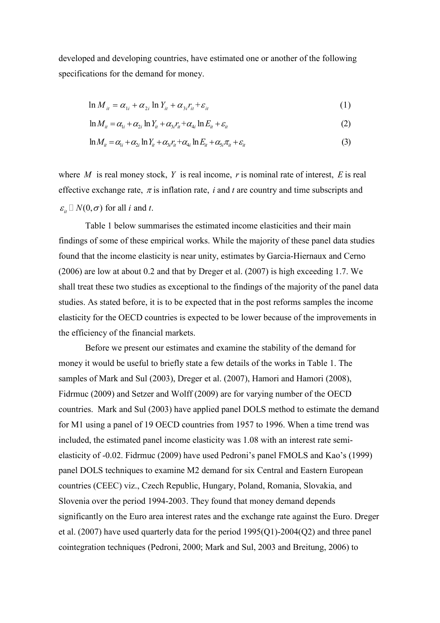developed and developing countries, have estimated one or another of the following specifications for the demand for money.

$$
\ln M_{ii} = \alpha_{1i} + \alpha_{2i} \ln Y_{it} + \alpha_{3i} r_{it} + \varepsilon_{it}
$$
\n(1)

$$
\ln M_{ii} = \alpha_{1i} + \alpha_{2i} \ln Y_{it} + \alpha_{3i} r_{it} + \alpha_{4i} \ln E_{it} + \varepsilon_{it}
$$
\n(2)

$$
\ln M_{it} = \alpha_{1i} + \alpha_{2i} \ln Y_{it} + \alpha_{3i} r_{it} + \alpha_{4i} \ln E_{it} + \alpha_{5i} \pi_{it} + \varepsilon_{it}
$$
\n(3)

where  $M$  is real money stock,  $Y$  is real income,  $r$  is nominal rate of interest,  $E$  is real effective exchange rate,  $\pi$  is inflation rate, i and t are country and time subscripts and  $\varepsilon_{ii}$   $N(0,\sigma)$  for all *i* and *t*.

Table 1 below summarises the estimated income elasticities and their main findings of some of these empirical works. While the majority of these panel data studies found that the income elasticity is near unity, estimates by Garcia-Hiernaux and Cerno  $(2006)$  are low at about 0.2 and that by Dreger et al.  $(2007)$  is high exceeding 1.7. We shall treat these two studies as exceptional to the findings of the majority of the panel data studies. As stated before, it is to be expected that in the post reforms samples the income elasticity for the OECD countries is expected to be lower because of the improvements in the efficiency of the financial markets.

Before we present our estimates and examine the stability of the demand for money it would be useful to briefly state a few details of the works in Table 1. The samples of Mark and Sul (2003), Dreger et al. (2007), Hamori and Hamori (2008), Fidrmuc (2009) and Setzer and Wolff (2009) are for varying number of the OECD countries. Mark and Sul (2003) have applied panel DOLS method to estimate the demand for M1 using a panel of 19 OECD countries from 1957 to 1996. When a time trend was included, the estimated panel income elasticity was 1.08 with an interest rate semielasticity of -0.02. Fidrmuc (2009) have used Pedroni's panel FMOLS and Kao's (1999) panel DOLS techniques to examine M2 demand for six Central and Eastern European countries (CEEC) viz., Czech Republic, Hungary, Poland, Romania, Slovakia, and Slovenia over the period 1994-2003. They found that money demand depends significantly on the Euro area interest rates and the exchange rate against the Euro. Dreger et al.  $(2007)$  have used quarterly data for the period 1995 $(O1)$ -2004 $(O2)$  and three panel cointegration techniques (Pedroni, 2000; Mark and Sul, 2003 and Breitung, 2006) to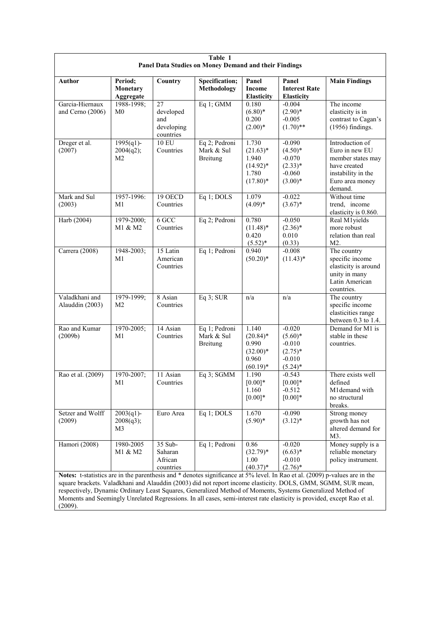| Table 1<br>Panel Data Studies on Money Demand and their Findings |                                  |                                                   |                                                |                                                                    |                                                                            |                                                                                                                            |  |  |
|------------------------------------------------------------------|----------------------------------|---------------------------------------------------|------------------------------------------------|--------------------------------------------------------------------|----------------------------------------------------------------------------|----------------------------------------------------------------------------------------------------------------------------|--|--|
| <b>Author</b>                                                    | Period;<br>Monetary<br>Aggregate | Country                                           | Specification;<br><b>Methodology</b>           | Panel<br><b>Income</b><br><b>Elasticity</b>                        | Panel<br><b>Interest Rate</b><br><b>Elasticity</b>                         | <b>Main Findings</b>                                                                                                       |  |  |
| Garcia-Hiernaux<br>and Cerno (2006)                              | 1988-1998;<br>M <sub>0</sub>     | 27<br>developed<br>and<br>developing<br>countries | Eq 1; GMM                                      | 0.180<br>$(6.80)*$<br>0.200<br>$(2.00)*$                           | $-0.004$<br>$(2.90)*$<br>$-0.005$<br>$(1.70)$ **                           | The income<br>elasticity is in<br>contrast to Cagan's<br>$(1956)$ findings.                                                |  |  |
| Dreger et al.<br>(2007)                                          | $1995(q1)$ -<br>2004(q2);<br>M2  | <b>10 EU</b><br>Countries                         | Eq 2; Pedroni<br>Mark & Sul<br><b>Breitung</b> | 1.730<br>$(21.63)*$<br>1.940<br>$(14.92)*$<br>1.780<br>$(17.80)$ * | $-0.090$<br>$(4.50)*$<br>$-0.070$<br>$(2.33)*$<br>$-0.060$<br>$(3.00)*$    | Introduction of<br>Euro in new EU<br>member states may<br>have created<br>instability in the<br>Euro area money<br>demand. |  |  |
| Mark and Sul<br>(2003)                                           | 1957-1996:<br>M1                 | 19 OECD<br>Countries                              | Eq 1; DOLS                                     | 1.079<br>$(4.09)*$                                                 | $-0.022$<br>$(3.67)^*$                                                     | Without time<br>trend, income<br>elasticity is 0.860.                                                                      |  |  |
| Harb (2004)                                                      | 1979-2000;<br>M1 & M2            | $6$ GCC<br>Countries                              | Eq 2; Pedroni                                  | 0.780<br>$(11.48)$ *<br>0.420<br>$(5.52)^*$                        | $-0.050$<br>$(2.36)^*$<br>0.010<br>(0.33)                                  | Real M1yields<br>more robust<br>relation than real<br>M2.                                                                  |  |  |
| Carrera (2008)                                                   | 1948-2003;<br>M1                 | 15 Latin<br>American<br>Countries                 | Eq 1; Pedroni                                  | 0.940<br>$(50.20)*$                                                | $-0.008$<br>$(11.43)^*$                                                    | The country<br>specific income<br>elasticity is around<br>unity in many<br>Latin American<br>countries.                    |  |  |
| Valadkhani and<br>Alauddin (2003)                                | 1979-1999;<br>M <sub>2</sub>     | 8 Asian<br>Countries                              | $Eq$ 3; SUR                                    | n/a                                                                | n/a                                                                        | The country<br>specific income<br>elasticities range<br>between $0.3$ to 1.4.                                              |  |  |
| Rao and Kumar<br>(2009b)                                         | 1970-2005;<br>M1                 | 14 Asian<br>Countries                             | Eq 1; Pedroni<br>Mark & Sul<br>Breitung        | 1.140<br>$(20.84)$ *<br>0.990<br>$(32.00)*$<br>0.960<br>$(60.19)*$ | $-0.020$<br>$(5.60)$ *<br>$-0.010$<br>$(2.75)^*$<br>$-0.010$<br>$(5.24)^*$ | Demand for M1 is<br>stable in these<br>countries.                                                                          |  |  |
| Rao et al. (2009)                                                | 1970-2007;<br>M1                 | 11 Asian<br>Countries                             | Eq 3; SGMM                                     | 1.190<br>$[0.00]*$<br>1.160<br>$[0.00]*$                           | $-0.543$<br>$[0.00]*$<br>$-0.512$<br>$[0.00]$ *                            | There exists well<br>defined<br>M1demand with<br>no structural<br>breaks.                                                  |  |  |
| Setzer and Wolff<br>(2009)                                       | $2003(q1)$ -<br>2008(q3);<br>M3  | Euro Area                                         | Eq 1; DOLS                                     | 1.670<br>$(5.90)*$                                                 | $-0.090$<br>$(3.12)^*$                                                     | Strong money<br>growth has not<br>altered demand for<br>M3.                                                                |  |  |
| Hamori (2008)                                                    | 1980-2005<br>M1 & M2             | 35 Sub-<br>Saharan<br>African<br>countries        | Eq 1; Pedroni                                  | 0.86<br>$(32.79)*$<br>1.00<br>$(40.37)*$                           | $-0.020$<br>$(6.63)*$<br>$-0.010$<br>$(2.76)^*$                            | Money supply is a<br>reliable monetary<br>policy instrument.                                                               |  |  |

Notes: t-statistics are in the parenthesis and \* denotes significance at 5% level. In Rao et al. (2009) p-values are in the square brackets. Valadkhani and Alauddin (2003) did not report income elasticity. DOLS, GMM, SGMM, SUR mean, respectively, Dynamic Ordinary Least Squares, Generalized Method of Moments, Systems Generalized Method of Moments and Seemingly Unrelated Regressions. In all cases, semi-interest rate elasticity is provided, except Rao et al.  $(2009).$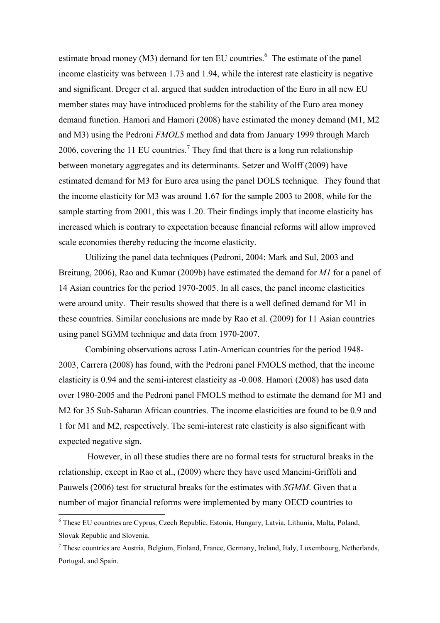estimate broad money (M3) demand for ten EU countries.<sup>6</sup> The estimate of the panel income elasticity was between 1.73 and 1.94, while the interest rate elasticity is negative and significant. Dreger et al. argued that sudden introduction of the Euro in all new EU member states may have introduced problems for the stability of the Euro area money demand function. Hamori and Hamori (2008) have estimated the money demand (M1, M2 and M3) using the Pedroni *FMOLS* method and data from January 1999 through March 2006, covering the 11 EU countries.<sup>7</sup> They find that there is a long run relationship between monetary aggregates and its determinants. Setzer and Wolff (2009) have estimated demand for M3 for Euro area using the panel DOLS technique. They found that the income elasticity for M3 was around 1.67 for the sample 2003 to 2008, while for the sample starting from 2001, this was 1.20. Their findings imply that income elasticity has increased which is contrary to expectation because financial reforms will allow improved scale economies thereby reducing the income elasticity.

Utilizing the panel data techniques (Pedroni, 2004; Mark and Sul, 2003 and Breitung, 2006), Rao and Kumar (2009b) have estimated the demand for MI for a panel of 14 Asian countries for the period 1970-2005. In all cases, the panel income elasticities were around unity. Their results showed that there is a well defined demand for M1 in these countries. Similar conclusions are made by Rao et al. (2009) for 11 Asian countries using panel SGMM technique and data from 1970-2007.

Combining observations across Latin-American countries for the period 1948-2003, Carrera (2008) has found, with the Pedroni panel FMOLS method, that the income elasticity is 0.94 and the semi-interest elasticity as -0.008. Hamori (2008) has used data over 1980-2005 and the Pedroni panel FMOLS method to estimate the demand for M1 and M2 for 35 Sub-Saharan African countries. The income elasticities are found to be 0.9 and 1 for M1 and M2, respectively. The semi-interest rate elasticity is also significant with expected negative sign.

However, in all these studies there are no formal tests for structural breaks in the relationship, except in Rao et al., (2009) where they have used Mancini-Griffoli and Pauwels (2006) test for structural breaks for the estimates with SGMM. Given that a number of major financial reforms were implemented by many OECD countries to

<sup>&</sup>lt;sup>6</sup> These EU countries are Cyprus, Czech Republic, Estonia, Hungary, Latvia, Lithunia, Malta, Poland, Slovak Republic and Slovenia.

 $^7$  These countries are Austria, Belgium, Finland, France, Germany, Ireland, Italy, Luxembourg, Netherlands, Portugal, and Spain.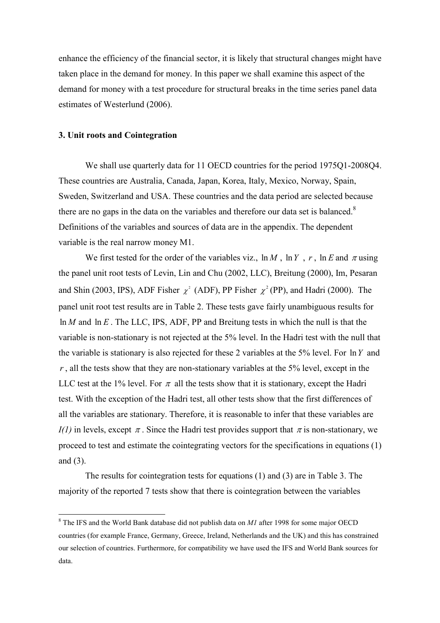enhance the efficiency of the financial sector, it is likely that structural changes might have taken place in the demand for money. In this paper we shall examine this aspect of the demand for money with a test procedure for structural breaks in the time series panel data estimates of Westerlund (2006).

#### 3. Unit roots and Cointegration

We shall use quarterly data for 11 OECD countries for the period 1975Q1-2008Q4. These countries are Australia, Canada, Japan, Korea, Italy, Mexico, Norway, Spain, Sweden, Switzerland and USA. These countries and the data period are selected because there are no gaps in the data on the variables and therefore our data set is balanced.<sup>8</sup> Definitions of the variables and sources of data are in the appendix. The dependent variable is the real narrow money M1.

We first tested for the order of the variables viz.,  $\ln M$ ,  $\ln Y$ , r,  $\ln E$  and  $\pi$  using the panel unit root tests of Levin, Lin and Chu (2002, LLC), Breitung (2000), Im, Pesaran and Shin (2003, IPS), ADF Fisher  $\chi^2$  (ADF), PP Fisher  $\chi^2$  (PP), and Hadri (2000). The panel unit root test results are in Table 2. These tests gave fairly unambiguous results for  $\ln M$  and  $\ln E$ . The LLC, IPS, ADF, PP and Breitung tests in which the null is that the variable is non-stationary is not rejected at the 5% level. In the Hadri test with the null that the variable is stationary is also rejected for these 2 variables at the 5% level. For  $\ln Y$  and  $r$ , all the tests show that they are non-stationary variables at the 5% level, except in the LLC test at the 1% level. For  $\pi$  all the tests show that it is stationary, except the Hadri test. With the exception of the Hadri test, all other tests show that the first differences of all the variables are stationary. Therefore, it is reasonable to infer that these variables are  $I(1)$  in levels, except  $\pi$ . Since the Hadri test provides support that  $\pi$  is non-stationary, we proceed to test and estimate the cointegrating vectors for the specifications in equations (1) and  $(3)$ .

The results for cointegration tests for equations  $(1)$  and  $(3)$  are in Table 3. The majority of the reported 7 tests show that there is cointegration between the variables

 $8$  The IFS and the World Bank database did not publish data on  $MI$  after 1998 for some major OECD countries (for example France, Germany, Greece, Ireland, Netherlands and the UK) and this has constrained our selection of countries. Furthermore, for compatibility we have used the IFS and World Bank sources for data.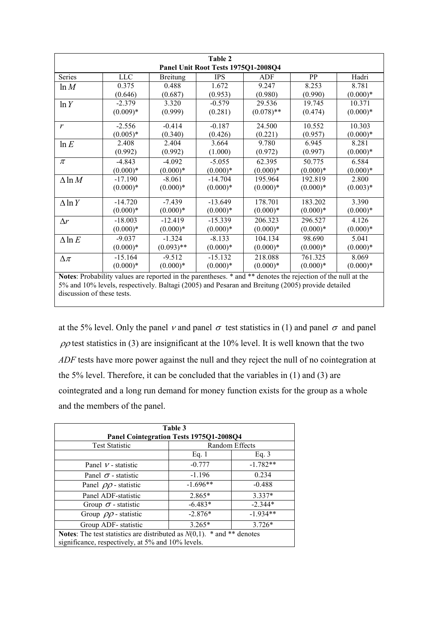| Table 2<br>Panel Unit Root Tests 1975Q1-2008Q4                                                              |            |                 |            |              |            |            |  |  |  |
|-------------------------------------------------------------------------------------------------------------|------------|-----------------|------------|--------------|------------|------------|--|--|--|
| Series                                                                                                      | <b>LLC</b> | <b>Breitung</b> | <b>IPS</b> | ADF          | PP         | Hadri      |  |  |  |
| ln M                                                                                                        | 0.375      | 0.488           | 1.672      | 9.247        | 8.253      | 8.781      |  |  |  |
|                                                                                                             | (0.646)    | (0.687)         | (0.953)    | (0.980)      | (0.990)    | $(0.000)*$ |  |  |  |
| ln Y                                                                                                        | $-2.379$   | 3.320           | $-0.579$   | 29.536       | 19.745     | 10.371     |  |  |  |
|                                                                                                             | $(0.009)*$ | (0.999)         | (0.281)    | $(0.078)$ ** | (0.474)    | $(0.000)*$ |  |  |  |
| $\mathbf{r}$                                                                                                | $-2.556$   | $-0.414$        | $-0.187$   | 24.500       | 10.552     | 10.303     |  |  |  |
|                                                                                                             | $(0.005)*$ | (0.340)         | (0.426)    | (0.221)      | (0.957)    | $(0.000)*$ |  |  |  |
| ln E                                                                                                        | 2.408      | 2.404           | 3.664      | 9.780        | 6.945      | 8.281      |  |  |  |
|                                                                                                             | (0.992)    | (0.992)         | (1.000)    | (0.972)      | (0.997)    | $(0.000)*$ |  |  |  |
| $\pi$                                                                                                       | $-4.843$   | $-4.092$        | $-5.055$   | 62.395       | 50.775     | 6.584      |  |  |  |
|                                                                                                             | $(0.000)*$ | $(0.000)*$      | $(0.000)*$ | $(0.000)*$   | $(0.000)*$ | $(0.000)*$ |  |  |  |
| $\Delta$ ln M                                                                                               | $-17.190$  | $-8.061$        | $-14.704$  | 195.964      | 192.819    | 2.800      |  |  |  |
|                                                                                                             | $(0.000)*$ | $(0.000)*$      | $(0.000)*$ | $(0.000)*$   | $(0.000)*$ | $(0.003)*$ |  |  |  |
| $\Delta$ ln Y                                                                                               | $-14.720$  | $-7.439$        | $-13.649$  | 178.701      | 183.202    | 3.390      |  |  |  |
|                                                                                                             | $(0.000)*$ | $(0.000)*$      | $(0.000)*$ | $(0.000)*$   | $(0.000)*$ | $(0.000)*$ |  |  |  |
| $\Delta r$                                                                                                  | $-18.003$  | $-12.419$       | $-15.339$  | 206.323      | 296.527    | 4.126      |  |  |  |
|                                                                                                             | $(0.000)*$ | $(0.000)*$      | $(0.000)*$ | $(0.000)*$   | $(0.000)*$ | $(0.000)*$ |  |  |  |
| $\Delta \ln E$                                                                                              | $-9.037$   | $-1.324$        | $-8.133$   | 104.134      | 98.690     | 5.041      |  |  |  |
|                                                                                                             | $(0.000)*$ | $(0.093)$ **    | $(0.000)*$ | $(0.000)*$   | $(0.000)*$ | $(0.000)*$ |  |  |  |
| $\Delta \pi$                                                                                                | $-15.164$  | $-9.512$        | $-15.132$  | 218.088      | 761.325    | 8.069      |  |  |  |
|                                                                                                             | $(0.000)*$ | $(0.000)*$      | $(0.000)*$ | $(0.000)*$   | $(0.000)*$ | $(0.000)*$ |  |  |  |
| Notes: Probability values are reported in the parentheses * and ** denotes the rejection of the null at the |            |                 |            |              |            |            |  |  |  |

Note s: Pr obability values are reported in the parentheses. \* and \*\* denotes the r null at the 5% and 10% levels, respectively. Baltagi (2005) and Pesaran and Breitung (2005) provide detailed discussion of these tests.

at the 5% level. Only the panel v and panel  $\sigma$  test statistics in (1) and panel  $\sigma$  and panel  $\rho \rho$  test statistics in (3) are insignificant at the 10% level. It is well known that the two ADF tests have more power against the null and they reject the null of no cointegration at the 5% level. Therefore, it can be concluded that the variables in  $(1)$  and  $(3)$  are cointegrated and a long run demand for money function exists for the group as a whole and the members of the panel.

| Table 3                                                                                                                               |                |            |  |  |  |  |  |
|---------------------------------------------------------------------------------------------------------------------------------------|----------------|------------|--|--|--|--|--|
| Panel Cointegration Tests 1975Q1-2008Q4                                                                                               |                |            |  |  |  |  |  |
| <b>Test Statistic</b>                                                                                                                 | Random Effects |            |  |  |  |  |  |
|                                                                                                                                       | Eq. $1$        | Eq. $3$    |  |  |  |  |  |
| Panel $\nu$ - statistic                                                                                                               | $-0.777$       | $-1.782**$ |  |  |  |  |  |
| Panel $\sigma$ - statistic                                                                                                            | $-1.196$       | 0.234      |  |  |  |  |  |
| Panel $\rho \rho$ - statistic                                                                                                         | $-1.696**$     | $-0.488$   |  |  |  |  |  |
| Panel ADF-statistic                                                                                                                   | $2.865*$       | $3.337*$   |  |  |  |  |  |
| Group $\sigma$ - statistic                                                                                                            | $-6.483*$      | $-2.344*$  |  |  |  |  |  |
| Group $\rho \rho$ - statistic                                                                                                         | $-2.876*$      | $-1.934**$ |  |  |  |  |  |
| $3.726*$<br>Group ADF-statistic<br>$3.265*$                                                                                           |                |            |  |  |  |  |  |
| <b>Notes:</b> The test statistics are distributed as $N(0,1)$ . * and ** denotes<br>significance, respectively, at 5% and 10% levels. |                |            |  |  |  |  |  |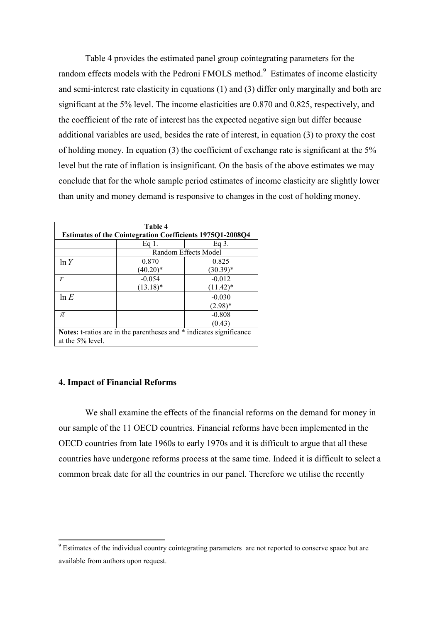Table 4 provides the estimated panel group cointegrating parameters for the random effects models with the Pedroni FMOLS method.<sup>9</sup> Estimates of income elasticity and semi-interest rate elasticity in equations (1) and (3) differ only marginally and both are significant at the 5% level. The income elasticities are 0.870 and 0.825, respectively, and the coefficient of the rate of interest has the expected negative sign but differ because additional variables are used, besides the rate of interest, in equation (3) to proxy the cost of holding money. In equation (3) the coefficient of exchange rate is significant at the 5% level but the rate of inflation is insignificant. On the basis of the above estimates we may conclude that for the whole sample period estimates of income elasticity are slightly lower than unity and money demand is responsive to changes in the cost of holding money.

| Table 4                                                          |                                                                     |                      |  |  |  |  |  |
|------------------------------------------------------------------|---------------------------------------------------------------------|----------------------|--|--|--|--|--|
| <b>Estimates of the Cointegration Coefficients 1975Q1-2008Q4</b> |                                                                     |                      |  |  |  |  |  |
|                                                                  | Eq 1.                                                               | Eq.3.                |  |  |  |  |  |
|                                                                  |                                                                     | Random Effects Model |  |  |  |  |  |
| ln Y                                                             | 0.870                                                               | 0.825                |  |  |  |  |  |
|                                                                  | $(40.20)*$                                                          | $(30.39)*$           |  |  |  |  |  |
| r                                                                | $-0.054$                                                            | $-0.012$             |  |  |  |  |  |
|                                                                  | $(13.18)^*$                                                         | $(11.42)^*$          |  |  |  |  |  |
| $\ln E$                                                          |                                                                     | $-0.030$             |  |  |  |  |  |
|                                                                  |                                                                     | $(2.98)*$            |  |  |  |  |  |
| $\pi$                                                            |                                                                     | $-0.808$             |  |  |  |  |  |
|                                                                  |                                                                     | (0.43)               |  |  |  |  |  |
|                                                                  | Notes: t-ratios are in the parentheses and * indicates significance |                      |  |  |  |  |  |
| at the 5% level.                                                 |                                                                     |                      |  |  |  |  |  |

#### **4. Impact of Financial Reforms**

We shall examine the effects of the financial reforms on the demand for money in our sample of the 11 OECD countries. Financial reforms have been implemented in the OECD countries from late 1960s to early 1970s and it is difficult to argue that all these countries have undergone reforms process at the same time. Indeed it is difficult to select a common break date for all the countries in our panel. Therefore we utilise the recently

<sup>&</sup>lt;sup>9</sup> Estimates of the individual country cointegrating parameters are not reported to conserve space but are available from authors upon request.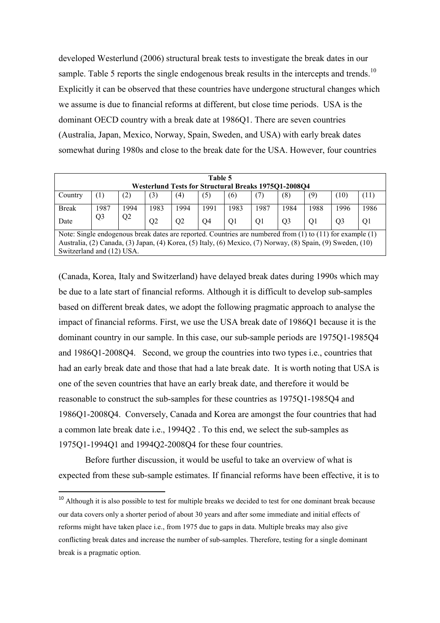developed Westerlund (2006) structural break tests to investigate the break dates in our sample. Table 5 reports the single endogenous break results in the intercepts and trends.<sup>10</sup> Explicitly it can be observed that these countries have undergone structural changes which we assume is due to financial reforms at different, but close time periods. USA is the dominant OECD country with a break date at 1986Q1. There are seven countries (Australia, Japan, Mexico, Norway, Spain, Sweden, and USA) with early break dates somewhat during 1980s and close to the break date for the USA. However, four countries

| Table 5<br><b>Westerlund Tests for Structural Breaks 197501-200804</b> |                                                                                                                                                                                                                                |      |      |                   |      |                |      |                |                |                |      |
|------------------------------------------------------------------------|--------------------------------------------------------------------------------------------------------------------------------------------------------------------------------------------------------------------------------|------|------|-------------------|------|----------------|------|----------------|----------------|----------------|------|
| Country                                                                | $\left(1\right)$                                                                                                                                                                                                               | (2)  | (3)  | $\left( 4\right)$ | (5)  | (6)            | (7   | (8)            | (9)            | (10)           | (11) |
| <b>Break</b>                                                           | 1987                                                                                                                                                                                                                           | 1994 | 1983 | 1994              | 1991 | 1983           | 1987 | 1984           | 1988           | 1996           | 1986 |
| Date                                                                   | Q <sub>3</sub>                                                                                                                                                                                                                 | Q2   | O2   | Q <sub>2</sub>    | O4   | O <sub>1</sub> | O1   | O <sub>3</sub> | O <sub>1</sub> | O <sub>3</sub> | O1   |
|                                                                        | Note: Single endogenous break dates are reported. Countries are numbered from $(1)$ to $(11)$ for example $(1)$<br>Australia, (2) Canada, (3) Japan, (4) Korea, (5) Italy, (6) Mexico, (7) Norway, (8) Spain, (9) Sweden, (10) |      |      |                   |      |                |      |                |                |                |      |

Switzerland and (12) USA.

l

(Canada, Korea, Italy and Switzerland) have delayed break dates during 1990s which may be due to a late start of financial reforms. Although it is difficult to develop sub-samples based on different break dates, we adopt the following pragmatic approach to analyse the impact of financial reforms. First, we use the USA break date of 1986Q1 because it is the dominant country in our sample. In this case, our sub-sample periods are 1975Q1-1985Q4 and  $1986Q1-2008Q4$ . Second, we group the countries into two types i.e., countries that had an early break date and those that had a late break date. It is worth noting that USA is one of the seven countries that have an early break date, and therefore it would be reasonable to construct the sub-samples for these countries as 1975Q1-1985Q4 and 1986Q1-2008Q4. Conversely, Canada and Korea are amongst the four countries that had a common late break date i.e., 1994Q2. To this end, we select the sub-samples as 1975Q1-1994Q1 and 1994Q2-2008Q4 for these four countries.

Before further discussion, it would be useful to take an overview of what is expected from these sub-sample estimates. If financial reforms have been effective, it is to

<sup>&</sup>lt;sup>10</sup> Although it is also possible to test for multiple breaks we decided to test for one dominant break because our data covers only a shorter period of about 30 years and after some immediate and initial effects of reforms might have taken place i.e., from 1975 due to gaps in data. Multiple breaks may also give conflicting break dates and increase the number of sub-samples. Therefore, testing for a single dominant break is a pragmatic option.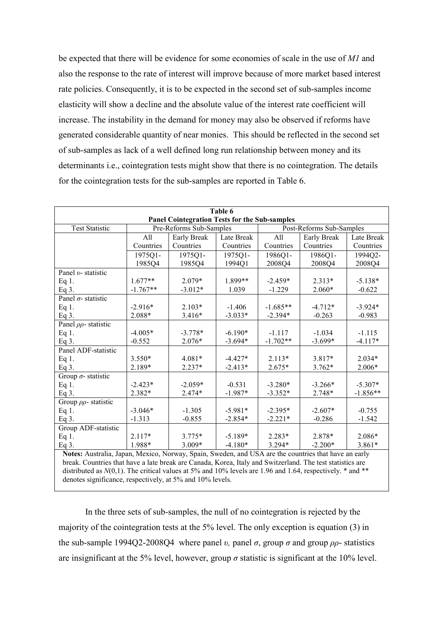be expected that there will be evidence for some economies of scale in the use of M1 and also the response to the rate of interest will improve because of more market based interest rate policies. Consequently, it is to be expected in the second set of sub-samples income elasticity will show a decline and the absolute value of the interest rate coefficient will increase. The instability in the demand for money may also be observed if reforms have generated considerable quantity of near monies. This should be reflected in the second set of sub-samples as lack of a well defined long run relationship between money and its determinants i.e., cointegration tests might show that there is no cointegration. The details for the cointegration tests for the sub-samples are reported in Table 6.

| Table 6                                                                                              |            |                         |            |                          |             |            |  |  |  |
|------------------------------------------------------------------------------------------------------|------------|-------------------------|------------|--------------------------|-------------|------------|--|--|--|
| <b>Panel Cointegration Tests for the Sub-samples</b>                                                 |            |                         |            |                          |             |            |  |  |  |
| <b>Test Statistic</b>                                                                                |            | Pre-Reforms Sub-Samples |            | Post-Reforms Sub-Samples |             |            |  |  |  |
|                                                                                                      | All        | Early Break             | Late Break | All                      | Early Break | Late Break |  |  |  |
|                                                                                                      | Countries  | Countries               | Countries  | Countries                | Countries   | Countries  |  |  |  |
|                                                                                                      | 1975Q1-    | 1975Q1-                 | 1975Q1-    | 1986Q1-                  | 1986Q1-     | 1994Q2-    |  |  |  |
|                                                                                                      | 1985Q4     | 1985Q4                  | 1994Q1     | 2008Q4                   | 2008Q4      | 2008Q4     |  |  |  |
| Panel v- statistic                                                                                   |            |                         |            |                          |             |            |  |  |  |
| Eq 1.                                                                                                | $1.677**$  | 2.079*                  | 1.899**    | $-2.459*$                | $2.313*$    | $-5.138*$  |  |  |  |
| Eq $3$ .                                                                                             | $-1.767**$ | $-3.012*$               | 1.039      | $-1.229$                 | $2.060*$    | $-0.622$   |  |  |  |
| Panel $\sigma$ -statistic                                                                            |            |                         |            |                          |             |            |  |  |  |
| Eq 1.                                                                                                | $-2.916*$  | $2.103*$                | $-1.406$   | $-1.685**$               | $-4.712*$   | $-3.924*$  |  |  |  |
| Eq $3$ .                                                                                             | 2.088*     | $3.416*$                | $-3.033*$  | $-2.394*$                | $-0.263$    | $-0.983$   |  |  |  |
| Panel $\rho \rho$ - statistic                                                                        |            |                         |            |                          |             |            |  |  |  |
| Eq $1$ .                                                                                             | $-4.005*$  | $-3.778*$               | $-6.190*$  | $-1.117$                 | $-1.034$    | $-1.115$   |  |  |  |
| Eq $3$ .                                                                                             | $-0.552$   | $2.076*$                | $-3.694*$  | $-1.702**$               | $-3.699*$   | $-4.117*$  |  |  |  |
| Panel ADF-statistic                                                                                  |            |                         |            |                          |             |            |  |  |  |
| Eq 1.                                                                                                | $3.550*$   | $4.081*$                | $-4.427*$  | $2.113*$                 | 3.817*      | $2.034*$   |  |  |  |
| Eq 3.                                                                                                | 2.189*     | 2.237*                  | $-2.413*$  | $2.675*$                 | $3.762*$    | $2.006*$   |  |  |  |
| Group $\sigma$ -statistic                                                                            |            |                         |            |                          |             |            |  |  |  |
| Eq 1.                                                                                                | $-2.423*$  | $-2.059*$               | $-0.531$   | $-3.280*$                | $-3.266*$   | $-5.307*$  |  |  |  |
| Eq 3.                                                                                                | 2.382*     | 2.474*                  | $-1.987*$  | $-3.352*$                | 2.748*      | $-1.856**$ |  |  |  |
| Group $\rho \rho$ - statistic                                                                        |            |                         |            |                          |             |            |  |  |  |
| Eq 1.                                                                                                | $-3.046*$  | $-1.305$                | $-5.981*$  | $-2.395*$                | $-2.607*$   | $-0.755$   |  |  |  |
| Eq $3$ .                                                                                             | $-1.313$   | $-0.855$                | $-2.854*$  | $-2.221*$                | $-0.286$    | $-1.542$   |  |  |  |
| Group ADF-statistic                                                                                  |            |                         |            |                          |             |            |  |  |  |
| Eq 1.                                                                                                | $2.117*$   | $3.775*$                | $-5.189*$  | $2.283*$                 | 2.878*      | 2.086*     |  |  |  |
| Eq $3$ .                                                                                             | 1.988*     | $3.009*$                | $-4.180*$  | 3.294*                   | $-2.200*$   | $3.861*$   |  |  |  |
| Notes: Australia, Japan, Mexico, Norway, Spain, Sweden, and USA are the countries that have an early |            |                         |            |                          |             |            |  |  |  |

break. Countries that have a late break are Canada, Korea, Italy and Switzerland. The test statistics are distributed as  $N(0,1)$ . The critical values at 5% and 10% levels are 1.96 and 1.64, respectively.  $*$  and  $**$ denotes significance, respectively, at 5% and 10% levels.

In the three sets of sub-samples, the null of no cointegration is rejected by the majority of the cointegration tests at the 5% level. The only exception is equation (3) in the sub-sample 1994Q2-2008Q4 where panel v, panel  $\sigma$ , group  $\sigma$  and group  $\rho \rho$ - statistics are insignificant at the 5% level, however, group  $\sigma$  statistic is significant at the 10% level.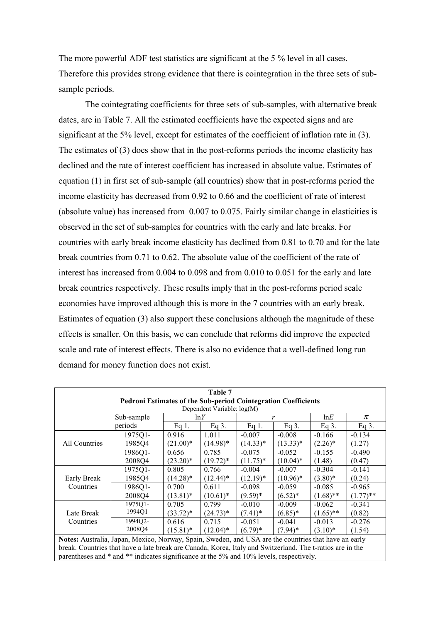The more powerful ADF test statistics are significant at the 5 % level in all cases. Therefore this provides strong evidence that there is cointegration in the three sets of subsample periods.

The cointegrating coefficients for three sets of sub-samples, with alternative break dates, are in Table 7. All the estimated coefficients have the expected signs and are significant at the 5% level, except for estimates of the coefficient of inflation rate in  $(3)$ . The estimates of  $(3)$  does show that in the post-reforms periods the income elasticity has declined and the rate of interest coefficient has increased in absolute value. Estimates of equation  $(1)$  in first set of sub-sample (all countries) show that in post-reforms period the income elasticity has decreased from 0.92 to 0.66 and the coefficient of rate of interest (absolute value) has increased from  $0.007$  to  $0.075$ . Fairly similar change in elasticities is observed in the set of sub-samples for countries with the early and late breaks. For countries with early break income elasticity has declined from 0.81 to 0.70 and for the late break countries from 0.71 to 0.62. The absolute value of the coefficient of the rate of interest has increased from  $0.004$  to  $0.098$  and from  $0.010$  to  $0.051$  for the early and late break countries respectively. These results imply that in the post-reforms period scale economies have improved although this is more in the 7 countries with an early break. Estimates of equation (3) also support these conclusions although the magnitude of these effects is smaller. On this basis, we can conclude that reforms did improve the expected scale and rate of interest effects. There is also no evidence that a well-defined long run demand for money function does not exist.

| Table 7                                                                                                   |            |             |             |             |             |             |             |  |  |  |
|-----------------------------------------------------------------------------------------------------------|------------|-------------|-------------|-------------|-------------|-------------|-------------|--|--|--|
| Pedroni Estimates of the Sub-period Cointegration Coefficients                                            |            |             |             |             |             |             |             |  |  |  |
| Dependent Variable: log(M)                                                                                |            |             |             |             |             |             |             |  |  |  |
|                                                                                                           | Sub-sample |             | $\ln Y$     | r           |             | lnE         | $\pi$       |  |  |  |
|                                                                                                           | periods    | Eq 1.       | Eq.3.       | Eq 1.       | Eq $3$ .    | Eq $3$ .    | Eq.3.       |  |  |  |
|                                                                                                           | 1975Q1-    | 0.916       | 1.011       | $-0.007$    | $-0.008$    | $-0.166$    | $-0.134$    |  |  |  |
| All Countries                                                                                             | 1985Q4     | $(21.00)*$  | $(14.98)*$  | $(14.33)*$  | $(13.33)*$  | $(2.26)^*$  | (1.27)      |  |  |  |
|                                                                                                           | 1986O1-    | 0.656       | 0.785       | $-0.075$    | $-0.052$    | $-0.155$    | $-0.490$    |  |  |  |
|                                                                                                           | 2008Q4     | $(23.20)*$  | $(19.72)^*$ | $(11.75)^*$ | $(10.04)^*$ | (1.48)      | (0.47)      |  |  |  |
|                                                                                                           | 1975Q1-    | 0.805       | 0.766       | $-0.004$    | $-0.007$    | $-0.304$    | $-0.141$    |  |  |  |
| Early Break                                                                                               | 1985Q4     | $(14.28)^*$ | $(12.44)^*$ | $(12.19)^*$ | $(10.96)^*$ | $(3.80)*$   | (0.24)      |  |  |  |
| Countries                                                                                                 | 1986Q1-    | 0.700       | 0.611       | $-0.098$    | $-0.059$    | $-0.085$    | $-0.965$    |  |  |  |
|                                                                                                           | 2008Q4     | $(13.81)^*$ | $(10.61)^*$ | $(9.59)*$   | $(6.52)^*$  | $(1.68)$ ** | $(1.77)$ ** |  |  |  |
|                                                                                                           | 1975Q1-    | 0.705       | 0.799       | $-0.010$    | $-0.009$    | $-0.062$    | $-0.341$    |  |  |  |
| Late Break                                                                                                | 1994Q1     | $(33.72)^*$ | $(24.73)*$  | $(7.41)^*$  | $(6.85)^*$  | $(1.65)$ ** | (0.82)      |  |  |  |
| Countries                                                                                                 | 1994Q2-    | 0.616       | 0.715       | $-0.051$    | $-0.041$    | $-0.013$    | $-0.276$    |  |  |  |
|                                                                                                           | 2008Q4     | $(15.81)^*$ | $(12.04)^*$ | $(6.79)*$   | $(7.94)$ *  | $(3.10)*$   | (1.54)      |  |  |  |
| Notes: Australia, Japan, Mexico, Norway, Spain, Sweden, and USA are the countries that have an early      |            |             |             |             |             |             |             |  |  |  |
| break. Countries that have a late break are Canada, Korea, Italy and Switzerland. The t-ratios are in the |            |             |             |             |             |             |             |  |  |  |
| parentheses and * and ** indicates significance at the 5% and 10% levels, respectively.                   |            |             |             |             |             |             |             |  |  |  |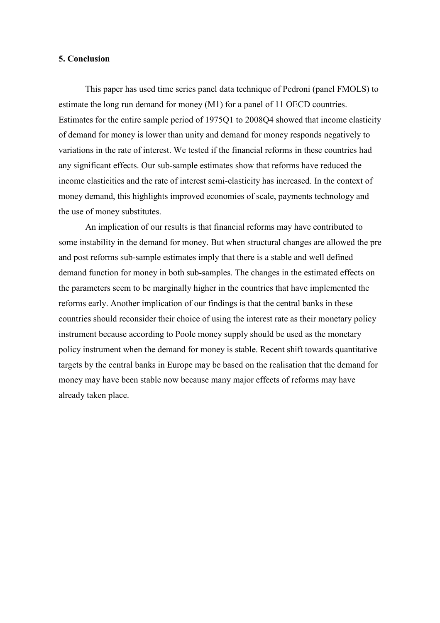#### **5. Conclusion**

This paper has used time series panel data technique of Pedroni (panel FMOLS) to estimate the long run demand for money (M1) for a panel of 11 OECD countries. Estimates for the entire sample period of 1975Q1 to 2008Q4 showed that income elasticity of demand for money is lower than unity and demand for money responds negatively to variations in the rate of interest. We tested if the financial reforms in these countries had any significant effects. Our sub-sample estimates show that reforms have reduced the income elasticities and the rate of interest semi-elasticity has increased. In the context of money demand, this highlights improved economies of scale, payments technology and the use of money substitutes.

An implication of our results is that financial reforms may have contributed to some instability in the demand for money. But when structural changes are allowed the pre and post reforms sub-sample estimates imply that there is a stable and well defined demand function for money in both sub-samples. The changes in the estimated effects on the parameters seem to be marginally higher in the countries that have implemented the reforms early. Another implication of our findings is that the central banks in these countries should reconsider their choice of using the interest rate as their monetary policy instrument because according to Poole money supply should be used as the monetary policy instrument when the demand for money is stable. Recent shift towards quantitative targets by the central banks in Europe may be based on the realisation that the demand for money may have been stable now because many major effects of reforms may have already taken place.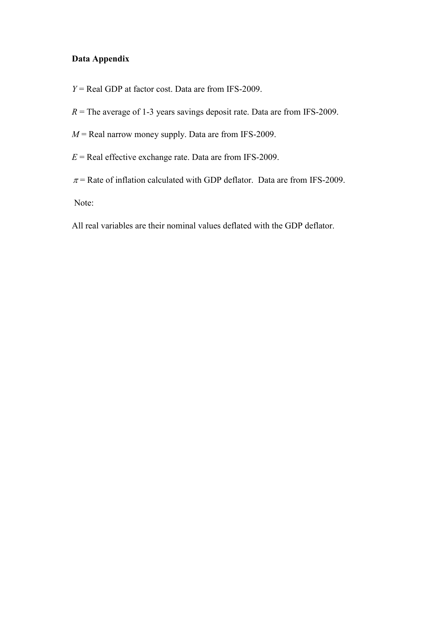## Data Appendix

- $Y = Real GDP$  at factor cost. Data are from IFS-2009.
- $R$  = The average of 1-3 years savings deposit rate. Data are from IFS-2009.
- $M$  = Real narrow money supply. Data are from IFS-2009.
- $E$  = Real effective exchange rate. Data are from IFS-2009.
- $\pi$  = Rate of inflation calculated with GDP deflator. Data are from IFS-2009.

Note:

All real variables are their nominal values deflated with the GDP deflator.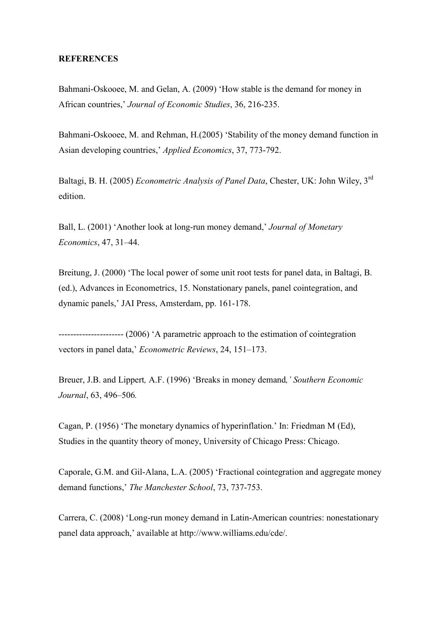#### **REFERENCES**

Bahmani-Oskooee, M. and Gelan, A. (2009) 'How stable is the demand for money in African countries,' Journal of Economic Studies, 36, 216-235.

Bahmani-Oskooee, M. and Rehman, H.(2005) 'Stability of the money demand function in Asian developing countries,' Applied Economics, 37, 773-792.

Baltagi, B. H. (2005) *Econometric Analysis of Panel Data*, Chester, UK: John Wiley, 3<sup>rd</sup> edition.

Ball, L. (2001) 'Another look at long-run money demand,' Journal of Monetary *Economics*, 47, 31-44.

Breitung, J. (2000) 'The local power of some unit root tests for panel data, in Baltagi, B. (ed.), Advances in Econometrics, 15. Nonstationary panels, panel cointegration, and dynamic panels,' JAI Press, Amsterdam, pp. 161-178.

---------------------- (2006) 'A parametric approach to the estimation of cointegration vectors in panel data,' *Econometric Reviews*, 24, 151–173.

Breuer, J.B. and Lippert, A.F. (1996) 'Breaks in money demand, ' Southern Economic *Journal*, 63, 496-506.

Cagan, P. (1956) 'The monetary dynamics of hyperinflation.' In: Friedman M (Ed), Studies in the quantity theory of money, University of Chicago Press: Chicago.

Caporale, G.M. and Gil-Alana, L.A. (2005) 'Fractional cointegration and aggregate money demand functions,' The Manchester School, 73, 737-753.

Carrera, C. (2008) 'Long-run money demand in Latin-American countries: nonestationary panel data approach,' available at http://www.williams.edu/cde/.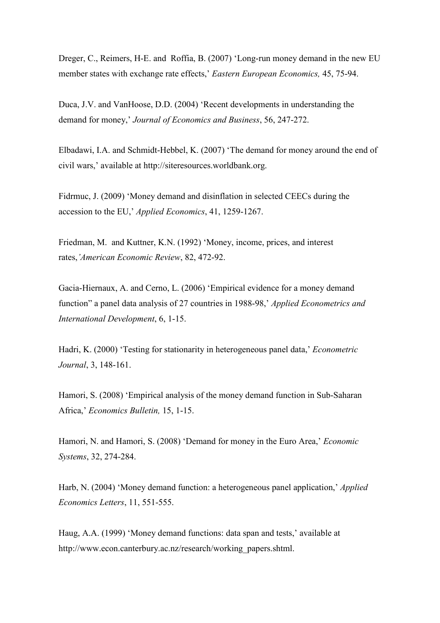Dreger, C., Reimers, H-E. and Roffia, B. (2007) 'Long-run money demand in the new EU member states with exchange rate effects,' Eastern European Economics, 45, 75-94.

Duca, J.V. and VanHoose, D.D. (2004) 'Recent developments in understanding the demand for money,' Journal of Economics and Business, 56, 247-272.

Elbadawi, I.A. and Schmidt-Hebbel, K. (2007) 'The demand for money around the end of civil wars,' available at http://siteresources.worldbank.org.

Fidrmuc, J. (2009) 'Money demand and disinflation in selected CEECs during the accession to the EU,' *Applied Economics*, 41, 1259-1267.

Friedman, M. and Kuttner, K.N. (1992) 'Money, income, prices, and interest rates, 'American Economic Review, 82, 472-92.

Gacia-Hiernaux, A. and Cerno, L. (2006) 'Empirical evidence for a money demand function" a panel data analysis of 27 countries in 1988-98,' *Applied Econometrics and International Development*, 6, 1-15.

Hadri, K. (2000) 'Testing for stationarity in heterogeneous panel data,' *Econometric Journal*, 3, 148-161.

Hamori, S. (2008) 'Empirical analysis of the money demand function in Sub-Saharan Africa,' *Economics Bulletin*, 15, 1-15.

Hamori, N. and Hamori, S. (2008) 'Demand for money in the Euro Area,' *Economic Systems*, 32, 274-284.

Harb, N. (2004) 'Money demand function: a heterogeneous panel application,' *Applied Economics Letters*, 11, 551-555.

Haug, A.A. (1999) 'Money demand functions: data span and tests,' available at http://www.econ.canterbury.ac.nz/research/working\_papers.shtml.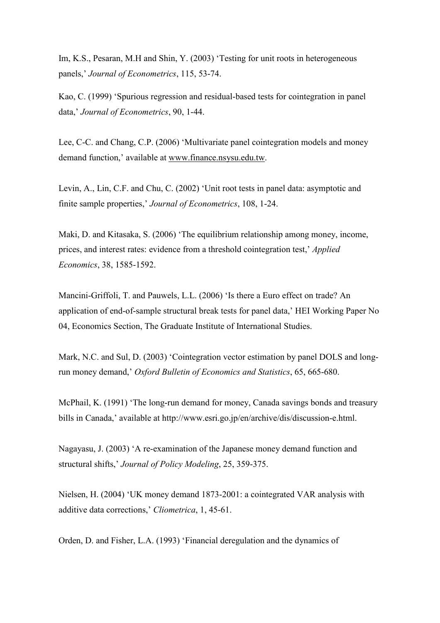Im, K.S., Pesaran, M.H and Shin, Y. (2003) 'Testing for unit roots in heterogeneous panels,' Journal of Econometrics, 115, 53-74.

Kao, C. (1999) 'Spurious regression and residual-based tests for cointegration in panel data,' Journal of Econometrics, 90, 1-44.

Lee, C-C. and Chang, C.P. (2006) 'Multivariate panel cointegration models and money demand function,' available at www.finance.nsysu.edu.tw.

Levin, A., Lin, C.F. and Chu, C. (2002) 'Unit root tests in panel data: asymptotic and finite sample properties,' Journal of Econometrics, 108, 1-24.

Maki, D. and Kitasaka, S. (2006) 'The equilibrium relationship among money, income, prices, and interest rates: evidence from a threshold cointegration test,' [Applied](http://econpapers.repec.org/article/tafapplec/) *[Economics](http://econpapers.repec.org/article/tafapplec/)*, 38, 1585-1592.

Mancini-Griffoli, T. and Pauwels, L.L. (2006) 'Is there a Euro effect on trade? Anapplication of end-of-sample structural break tests for panel data,' HEI Working Paper No 04, Economics Section, The Graduate Institute of International Studies.

Mark, N.C. and Sul, D. (2003) 'Cointegration vector estimation by panel DOLS and longrun money demand,' *Oxford Bulletin of Economics and Statistics*, 65, 665-680.

McPhail, K. (1991) 'The long-run demand for money, Canada savings bonds and treasury bills in Canada,' available at http://www.esri.go.jp/en/archive/dis/discussion-e.html.

Nagayasu, J. (2003) 'A re-examination of the Japanese money demand function and structural shifts,' Journal of Policy Modeling, 25, 359-375.

Nielsen, H. (2004) 'UK money demand 1873-2001: a cointegrated VAR analysis with additive data corrections,' *[Cliometrica](http://www.springerlink.com/content/120412/?p=741a0cae98ab4f4484d13160719996e1&pi=0)*, 1, 45-61.

Orden, D. and Fisher, L.A. (1993) 'Financial deregulation and the dynamics of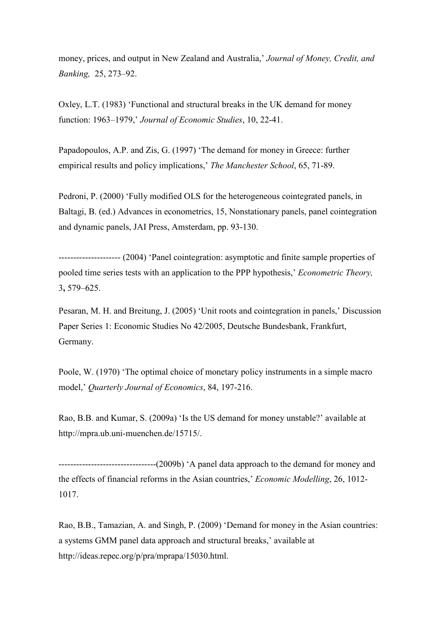money, prices, and output in New Zealand and Australia,' Journal of Money, Credit, and *Banking, 25, 273-92.* 

Oxley, L.T. (1983) 'Functional and structural breaks in the UK demand for money function: 1963–1979,' Journal of Economic Studies, 10, 22-41.

Papadopoulos, A.P. and Zis, G. (1997) 'The demand for money in Greece: further empirical results and policy implications,' The Manchester School, 65, 71-89.

Pedroni, P. (2000) 'Fully modified OLS for the heterogeneous cointegrated panels, in Baltagi, B. (ed.) Advances in econometrics, 15, Nonstationary panels, panel cointegration and dynamic panels, JAI Press, Amsterdam, pp. 93-130.

--------------------- (2004) 'Panel cointegration: asymptotic and finite sample properties of pooled time series tests with an application to the PPP hypothesis,' *Econometric Theory*,  $3,579-625.$ 

Pesaran, M. H. and Breitung, J. (2005) 'Unit roots and cointegration in panels,' Discussion Paper Series 1: Economic Studies No 42/2005, Deutsche Bundesbank, Frankfurt, Germany.

Poole, W. (1970) 'The optimal choice of monetary policy instruments in a simple macro model,' Quarterly Journal of Economics, 84, 197-216.

Rao, B.B. and Kumar, S. (2009a) 'Is the US demand for money unstable?' available at http://mpra.ub.uni-muenchen.de/15715/.

111111111111111111111111111111111\*886)"S,,, the effects of financial reforms in the Asian countries,' *Economic Modelling*, 26, 1012-1017.

Rao, B.B., Tamazian, A. and Singh, P. (2009) 'Demand for money in the Asian countries: a systems GMM panel data approach and structural breaks,' available at http://ideas.repec.org/p/pra/mprapa/15030.html.